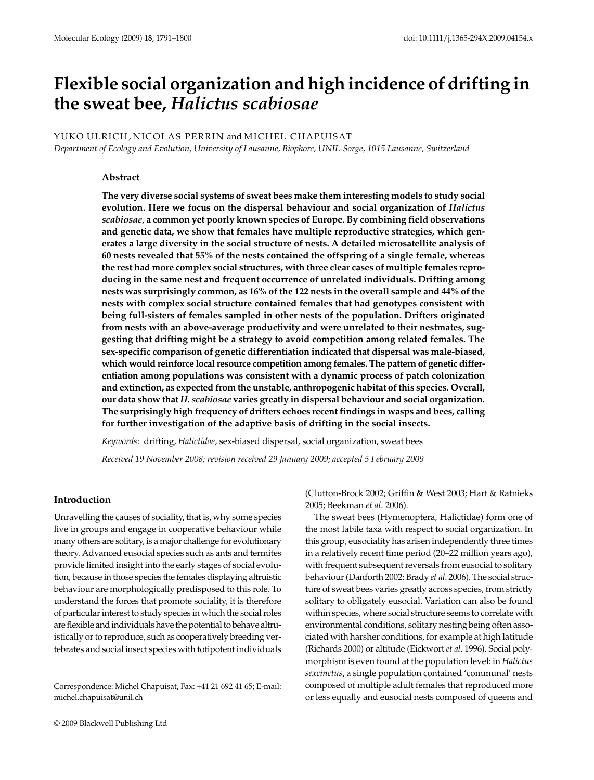# Flexible social organization and high incidence of drifting in **the sweat bee,** *Halictus scabiosae*

## YUKO ULRICH, NICOLAS PERRIN and MICHEL CHAPUISAT

*Department of Ecology and Evolution, University of Lausanne, Biophore, UNIL-Sorge, 1015 Lausanne, Switzerland*

### **Abstract**

**The very diverse social systems of sweat bees make them interesting models to study social evolution. Here we focus on the dispersal behaviour and social organization of** *Halictus scabiosae***, a common yet poorly known species of Europe. By combining field observations and genetic data, we show that females have multiple reproductive strategies, which generates a large diversity in the social structure of nests. A detailed microsatellite analysis of 60 nests revealed that 55% of the nests contained the offspring of a single female, whereas the rest had more complex social structures, with three clear cases of multiple females reproducing in the same nest and frequent occurrence of unrelated individuals. Drifting among nests was surprisingly common, as 16% of the 122 nests in the overall sample and 44% of the nests with complex social structure contained females that had genotypes consistent with being full-sisters of females sampled in other nests of the population. Drifters originated from nests with an above-average productivity and were unrelated to their nestmates, suggesting that drifting might be a strategy to avoid competition among related females. The sex-specific comparison of genetic differentiation indicated that dispersal was male-biased, which would reinforce local resource competition among females. The pattern of genetic differentiation among populations was consistent with a dynamic process of patch colonization and extinction, as expected from the unstable, anthropogenic habitat of this species. Overall, our data show that** *H. scabiosae* **varies greatly in dispersal behaviour and social organization. The surprisingly high frequency of drifters echoes recent findings in wasps and bees, calling for further investigation of the adaptive basis of drifting in the social insects.**

*Keywords*: drifting, *Halictidae*, sex-biased dispersal, social organization, sweat bees *Received 19 November 2008; revision received 29 January 2009; accepted 5 February 2009*

### **Introduction**

Unravelling the causes of sociality, that is, why some species live in groups and engage in cooperative behaviour while many others are solitary, is a major challenge for evolutionary theory. Advanced eusocial species such as ants and termites provide limited insight into the early stages of social evolution, because in those species the females displaying altruistic behaviour are morphologically predisposed to this role. To understand the forces that promote sociality, it is therefore of particular interest to study species in which the social roles are flexible and individuals have the potential to behave altruistically or to reproduce, such as cooperatively breeding vertebrates and social insect species with totipotent individuals

(Clutton-Brock 2002; Griffin & West 2003; Hart & Ratnieks 2005; Beekman *et al*. 2006).

The sweat bees (Hymenoptera, Halictidae) form one of the most labile taxa with respect to social organization. In this group, eusociality has arisen independently three times in a relatively recent time period (20–22 million years ago), with frequent subsequent reversals from eusocial to solitary behaviour (Danforth 2002; Brady *et al*. 2006). The social structure of sweat bees varies greatly across species, from strictly solitary to obligately eusocial. Variation can also be found within species, where social structure seems to correlate with environmental conditions, solitary nesting being often associated with harsher conditions, for example at high latitude (Richards 2000) or altitude (Eickwort *et al*. 1996). Social polymorphism is even found at the population level: in *Halictus sexcinctus*, a single population contained 'communal' nests composed of multiple adult females that reproduced more or less equally and eusocial nests composed of queens and

Correspondence: Michel Chapuisat, Fax: +41 21 692 41 65; E-mail: michel[.chapuisat@unil.ch](mailto:chapuisat@unil.ch)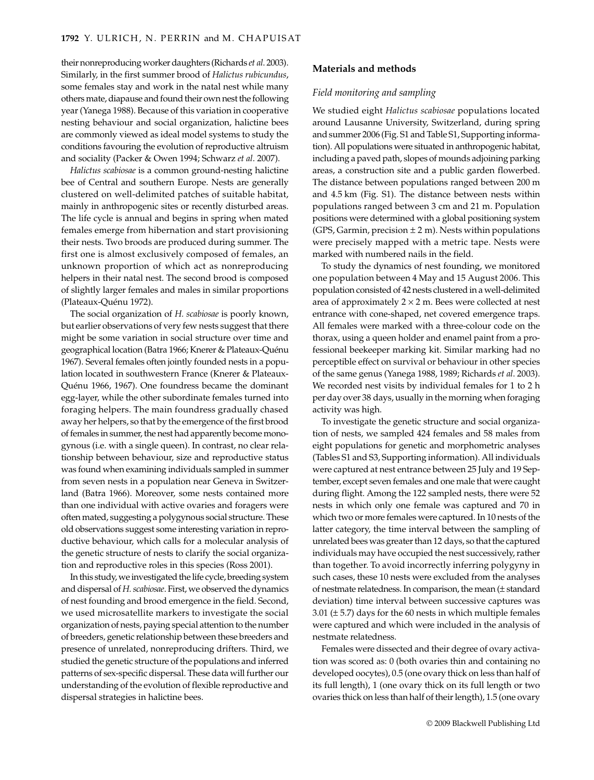their nonreproducing worker daughters (Richards *et al*. 2003). Similarly, in the first summer brood of *Halictus rubicundus*, some females stay and work in the natal nest while many others mate, diapause and found their own nest the following year (Yanega 1988). Because of this variation in cooperative nesting behaviour and social organization, halictine bees are commonly viewed as ideal model systems to study the conditions favouring the evolution of reproductive altruism and sociality (Packer & Owen 1994; Schwarz *et al*. 2007).

*Halictus scabiosae* is a common ground-nesting halictine bee of Central and southern Europe. Nests are generally clustered on well-delimited patches of suitable habitat, mainly in anthropogenic sites or recently disturbed areas. The life cycle is annual and begins in spring when mated females emerge from hibernation and start provisioning their nests. Two broods are produced during summer. The first one is almost exclusively composed of females, an unknown proportion of which act as nonreproducing helpers in their natal nest. The second brood is composed of slightly larger females and males in similar proportions (Plateaux-Quénu 1972).

The social organization of *H. scabiosae* is poorly known, but earlier observations of very few nests suggest that there might be some variation in social structure over time and geographical location (Batra 1966; Knerer & Plateaux-Quénu 1967). Several females often jointly founded nests in a population located in southwestern France (Knerer & Plateaux-Quénu 1966, 1967). One foundress became the dominant egg-layer, while the other subordinate females turned into foraging helpers. The main foundress gradually chased away her helpers, so that by the emergence of the first brood of females in summer, the nest had apparently become monogynous (i.e. with a single queen). In contrast, no clear relationship between behaviour, size and reproductive status was found when examining individuals sampled in summer from seven nests in a population near Geneva in Switzerland (Batra 1966). Moreover, some nests contained more than one individual with active ovaries and foragers were often mated, suggesting a polygynous social structure. These old observations suggest some interesting variation in reproductive behaviour, which calls for a molecular analysis of the genetic structure of nests to clarify the social organization and reproductive roles in this species (Ross 2001).

In this study, we investigated the life cycle, breeding system and dispersal of *H. scabiosae*. First, we observed the dynamics of nest founding and brood emergence in the field. Second, we used microsatellite markers to investigate the social organization of nests, paying special attention to the number of breeders, genetic relationship between these breeders and presence of unrelated, nonreproducing drifters. Third, we studied the genetic structure of the populations and inferred patterns of sex-specific dispersal. These data will further our understanding of the evolution of flexible reproductive and dispersal strategies in halictine bees.

## **Materials and methods**

#### *Field monitoring and sampling*

We studied eight *Halictus scabiosae* populations located around Lausanne University, Switzerland, during spring and summer 2006 (Fig. S1 and Table S1, Supporting information). All populations were situated in anthropogenic habitat, including a paved path, slopes of mounds adjoining parking areas, a construction site and a public garden flowerbed. The distance between populations ranged between 200 m and 4.5 km (Fig. S1). The distance between nests within populations ranged between 3 cm and 21 m. Population positions were determined with a global positioning system (GPS, Garmin, precision  $\pm 2$  m). Nests within populations were precisely mapped with a metric tape. Nests were marked with numbered nails in the field.

To study the dynamics of nest founding, we monitored one population between 4 May and 15 August 2006. This population consisted of 42 nests clustered in a well-delimited area of approximately  $2 \times 2$  m. Bees were collected at nest entrance with cone-shaped, net covered emergence traps. All females were marked with a three-colour code on the thorax, using a queen holder and enamel paint from a professional beekeeper marking kit. Similar marking had no perceptible effect on survival or behaviour in other species of the same genus (Yanega 1988, 1989; Richards *et al*. 2003). We recorded nest visits by individual females for 1 to 2 h per day over 38 days, usually in the morning when foraging activity was high.

To investigate the genetic structure and social organization of nests, we sampled 424 females and 58 males from eight populations for genetic and morphometric analyses (Tables S1 and S3, Supporting information). All individuals were captured at nest entrance between 25 July and 19 September, except seven females and one male that were caught during flight. Among the 122 sampled nests, there were 52 nests in which only one female was captured and 70 in which two or more females were captured. In 10 nests of the latter category, the time interval between the sampling of unrelated bees was greater than 12 days, so that the captured individuals may have occupied the nest successively, rather than together. To avoid incorrectly inferring polygyny in such cases, these 10 nests were excluded from the analyses of nestmate relatedness. In comparison, the mean (± standard deviation) time interval between successive captures was 3.01 ( $\pm$  5.7) days for the 60 nests in which multiple females were captured and which were included in the analysis of nestmate relatedness.

Females were dissected and their degree of ovary activation was scored as: 0 (both ovaries thin and containing no developed oocytes), 0.5 (one ovary thick on less than half of its full length), 1 (one ovary thick on its full length or two ovaries thick on less than half of their length), 1.5 (one ovary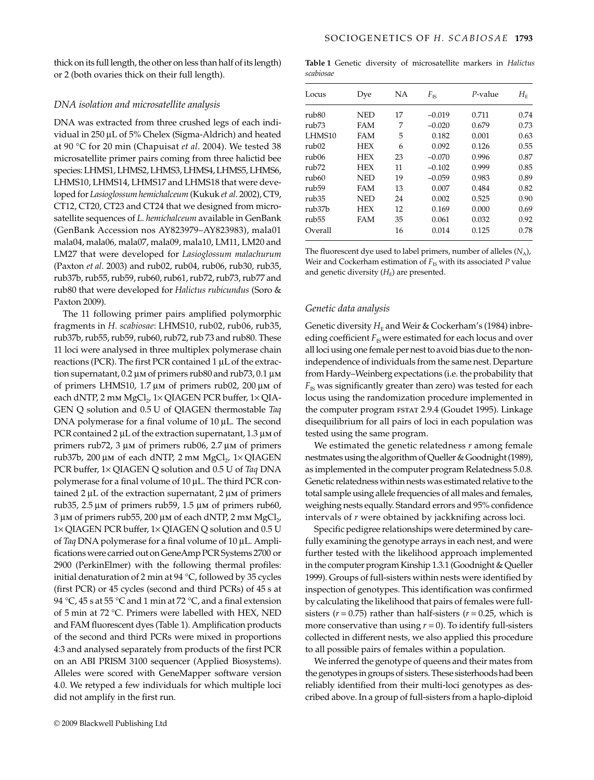thick on its full length, the other on less than half of its length) or 2 (both ovaries thick on their full length).

*DNA isolation and microsatellite analysis*

DNA was extracted from three crushed legs of each individual in 250 μL of 5% Chelex (Sigma-Aldrich) and heated at 90 °C for 20 min (Chapuisat *et al*. 2004). We tested 38 microsatellite primer pairs coming from three halictid bee species: LHMS1, LHMS2, LHMS3, LHMS4, LHMS5, LHMS6, LHMS10, LHMS14, LHMS17 and LHMS18 that were developed for *Lasioglossum hemichalceum* (Kukuk *et al*. 2002), CT9, CT12, CT20, CT23 and CT24 that we designed from microsatellite sequences of *L. hemichalceum* available in GenBank (GenBank Accession nos AY823979–AY823983), mala01 mala04, mala06, mala07, mala09, mala10, LM11, LM20 and LM27 that were developed for *Lasioglossum malachurum* (Paxton *et al*. 2003) and rub02, rub04, rub06, rub30, rub35, rub37b, rub55, rub59, rub60, rub61, rub72, rub73, rub77 and rub80 that were developed for *Halictus rubicundus* (Soro & Paxton 2009).

The 11 following primer pairs amplified polymorphic fragments in *H. scabiosae*: LHMS10, rub02, rub06, rub35, rub37b, rub55, rub59, rub60, rub72, rub 73 and rub80. These 11 loci were analysed in three multiplex polymerase chain reactions (PCR). The first PCR contained 1 μL of the extraction supernatant, 0.2 μm of primers rub80 and rub73, 0.1 μm of primers LHMS10, 1.7 μm of primers rub02, 200 μm of each dNTP, 2 mm  $MgCl<sub>2</sub>$ , 1× QIAGEN PCR buffer, 1× QIA-GEN Q solution and 0.5 U of QIAGEN thermostable *Taq* DNA polymerase for a final volume of 10 μL. The second PCR contained 2 μL of the extraction supernatant, 1.3 μm of primers rub72, 3 μm of primers rub06, 2.7 μm of primers rub37b, 200 μm of each dNTP, 2 mm  $MgCl<sub>2</sub>$ , 1× QIAGEN PCR buffer, 1× QIAGEN Q solution and 0.5 U of *Taq* DNA polymerase for a final volume of 10 μL. The third PCR contained 2 μL of the extraction supernatant, 2 μm of primers rub35, 2.5 μm of primers rub59, 1.5 μm of primers rub60,  $3 \mu$ M of primers rub 55, 200 μm of each dNTP, 2 mm MgCl<sub>2</sub>, 1× QIAGEN PCR buffer, 1× QIAGEN Q solution and 0.5 U of *Taq* DNA polymerase for a final volume of 10 μL. Amplifications were carried out on GeneAmp PCR Systems 2700 or 2900 (PerkinElmer) with the following thermal profiles: initial denaturation of 2 min at 94 °C, followed by 35 cycles (first PCR) or 45 cycles (second and third PCRs) of 45 s at 94 °C, 45 s at 55 °C and 1 min at 72 °C, and a final extension of 5 min at 72 °C. Primers were labelled with HEX, NED and FAM fluorescent dyes (Table 1). Amplification products of the second and third PCRs were mixed in proportions 4:3 and analysed separately from products of the first PCR on an ABI PRISM 3100 sequencer (Applied Biosystems). Alleles were scored with GeneMapper software version 4.0. We retyped a few individuals for which multiple loci did not amplify in the first run.

**Table 1** Genetic diversity of microsatellite markers in *Halictus scabiosae*

| Locus             | Dye        | NА | $F_{\rm IS}$ | P-value | $H_{\rm F}$ |  |
|-------------------|------------|----|--------------|---------|-------------|--|
| rub80             | NED        | 17 | $-0.019$     | 0.711   | 0.74        |  |
| rub73             | FAM        | 7  | $-0.020$     | 0.679   | 0.73        |  |
| LHMS10            | FAM        | 5  | 0.182        | 0.001   | 0.63        |  |
| rub <sub>02</sub> | <b>HEX</b> | 6  | 0.092        | 0.126   | 0.55        |  |
| rub06             | <b>HEX</b> | 23 | $-0.070$     | 0.996   | 0.87        |  |
| rub72             | <b>HEX</b> | 11 | $-0.102$     | 0.999   | 0.85        |  |
| rub60             | <b>NED</b> | 19 | $-0.059$     | 0.983   | 0.89        |  |
| rub <sub>59</sub> | FAM        | 13 | 0.007        | 0.484   | 0.82        |  |
| rub35             | <b>NED</b> | 24 | 0.002        | 0.525   | 0.90        |  |
| rub37b            | <b>HEX</b> | 12 | 0.169        | 0.000   | 0.69        |  |
| rub55             | FAM        | 35 | 0.061        | 0.032   | 0.92        |  |
| Overall           |            | 16 | 0.014        | 0.125   | 0.78        |  |

The fluorescent dye used to label primers, number of alleles  $(N_A)$ , Weir and Cockerham estimation of  $F_{\text{IS}}$  with its associated  $P$  value and genetic diversity ( $H<sub>E</sub>$ ) are presented.

#### *Genetic data analysis*

Genetic diversity  $H_{\rm E}$  and Weir & Cockerham's (1984) inbreeding coefficient  $F_{IS}$  were estimated for each locus and over all loci using one female per nest to avoid bias due to the nonindependence of individuals from the same nest. Departure from Hardy–Weinberg expectations (i.e. the probability that  $F_{\text{IS}}$  was significantly greater than zero) was tested for each locus using the randomization procedure implemented in the computer program FSTAT 2.9.4 (Goudet 1995). Linkage disequilibrium for all pairs of loci in each population was tested using the same program.

We estimated the genetic relatedness *r* among female nestmates using the algorithm of Queller & Goodnight (1989), as implemented in the computer program Relatedness 5.0.8. Genetic relatedness within nests was estimated relative to the total sample using allele frequencies of all males and females, weighing nests equally. Standard errors and 95% confidence intervals of *r* were obtained by jackknifing across loci.

Specific pedigree relationships were determined by carefully examining the genotype arrays in each nest, and were further tested with the likelihood approach implemented in the computer program Kinship 1.3.1 (Goodnight & Queller 1999). Groups of full-sisters within nests were identified by inspection of genotypes. This identification was confirmed by calculating the likelihood that pairs of females were fullsisters ( $r = 0.75$ ) rather than half-sisters ( $r = 0.25$ , which is more conservative than using  $r = 0$ ). To identify full-sisters collected in different nests, we also applied this procedure to all possible pairs of females within a population.

We inferred the genotype of queens and their mates from the genotypes in groups of sisters. These sisterhoods had been reliably identified from their multi-loci genotypes as described above. In a group of full-sisters from a haplo-diploid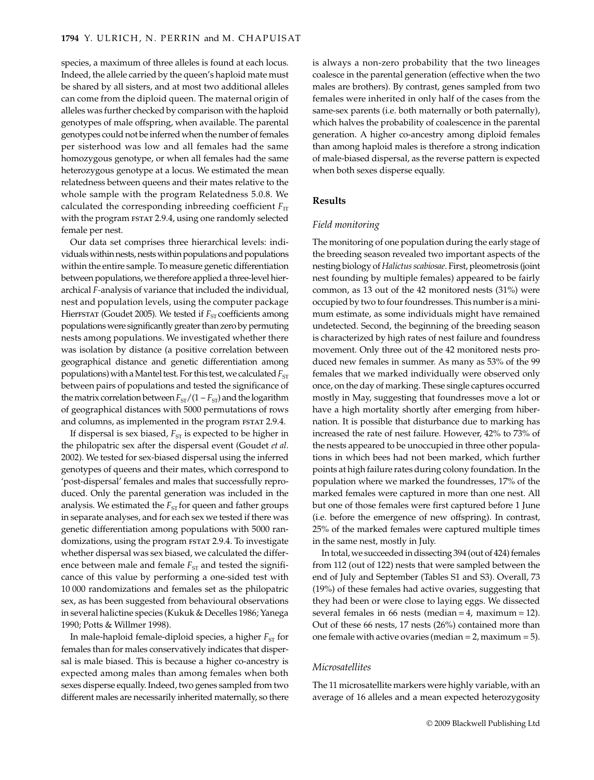species, a maximum of three alleles is found at each locus. Indeed, the allele carried by the queen's haploid mate must be shared by all sisters, and at most two additional alleles can come from the diploid queen. The maternal origin of alleles was further checked by comparison with the haploid genotypes of male offspring, when available. The parental genotypes could not be inferred when the number of females per sisterhood was low and all females had the same homozygous genotype, or when all females had the same heterozygous genotype at a locus. We estimated the mean relatedness between queens and their mates relative to the whole sample with the program Relatedness 5.0.8. We calculated the corresponding inbreeding coefficient  $F_{IT}$ with the program FSTAT 2.9.4, using one randomly selected female per nest.

Our data set comprises three hierarchical levels: individuals within nests, nests within populations and populations within the entire sample. To measure genetic differentiation between populations, we therefore applied a three-level hierarchical *F-*analysis of variance that included the individual, nest and population levels, using the computer package HierFSTAT (Goudet 2005). We tested if *F*<sub>ST</sub> coefficients among populations were significantly greater than zero by permuting nests among populations. We investigated whether there was isolation by distance (a positive correlation between geographical distance and genetic differentiation among populations) with a Mantel test. For this test, we calculated  $F_{ST}$ between pairs of populations and tested the significance of the matrix correlation between  $F_{ST}/(1 - F_{ST})$  and the logarithm of geographical distances with 5000 permutations of rows and columns, as implemented in the program FSTAT 2.9.4.

If dispersal is sex biased,  $F_{ST}$  is expected to be higher in the philopatric sex after the dispersal event (Goudet *et al*. 2002). We tested for sex-biased dispersal using the inferred genotypes of queens and their mates, which correspond to 'post-dispersal' females and males that successfully reproduced. Only the parental generation was included in the analysis. We estimated the  $F_{ST}$  for queen and father groups in separate analyses, and for each sex we tested if there was genetic differentiation among populations with 5000 randomizations, using the program FSTAT 2.9.4. To investigate whether dispersal was sex biased, we calculated the difference between male and female  $F_{ST}$  and tested the significance of this value by performing a one-sided test with 10 000 randomizations and females set as the philopatric sex, as has been suggested from behavioural observations in several halictine species (Kukuk & Decelles 1986; Yanega 1990; Potts & Willmer 1998).

In male-haploid female-diploid species, a higher  $F_{ST}$  for females than for males conservatively indicates that dispersal is male biased. This is because a higher co-ancestry is expected among males than among females when both sexes disperse equally. Indeed, two genes sampled from two different males are necessarily inherited maternally, so there is always a non-zero probability that the two lineages coalesce in the parental generation (effective when the two males are brothers). By contrast, genes sampled from two females were inherited in only half of the cases from the same-sex parents (i.e. both maternally or both paternally), which halves the probability of coalescence in the parental generation. A higher co-ancestry among diploid females than among haploid males is therefore a strong indication of male-biased dispersal, as the reverse pattern is expected when both sexes disperse equally.

#### **Results**

#### *Field monitoring*

The monitoring of one population during the early stage of the breeding season revealed two important aspects of the nesting biology of *Halictus scabiosae*. First, pleometrosis (joint nest founding by multiple females) appeared to be fairly common, as 13 out of the 42 monitored nests (31%) were occupied by two to four foundresses. This number is a minimum estimate, as some individuals might have remained undetected. Second, the beginning of the breeding season is characterized by high rates of nest failure and foundress movement. Only three out of the 42 monitored nests produced new females in summer. As many as 53% of the 99 females that we marked individually were observed only once, on the day of marking. These single captures occurred mostly in May, suggesting that foundresses move a lot or have a high mortality shortly after emerging from hibernation. It is possible that disturbance due to marking has increased the rate of nest failure. However, 42% to 73% of the nests appeared to be unoccupied in three other populations in which bees had not been marked, which further points at high failure rates during colony foundation. In the population where we marked the foundresses, 17% of the marked females were captured in more than one nest. All but one of those females were first captured before 1 June (i.e. before the emergence of new offspring). In contrast, 25% of the marked females were captured multiple times in the same nest, mostly in July.

In total, we succeeded in dissecting 394 (out of 424) females from 112 (out of 122) nests that were sampled between the end of July and September (Tables S1 and S3). Overall, 73 (19%) of these females had active ovaries, suggesting that they had been or were close to laying eggs. We dissected several females in 66 nests (median  $=$  4, maximum  $=$  12). Out of these 66 nests, 17 nests (26%) contained more than one female with active ovaries (median  $= 2$ , maximum  $= 5$ ).

#### *Microsatellites*

The 11 microsatellite markers were highly variable, with an average of 16 alleles and a mean expected heterozygosity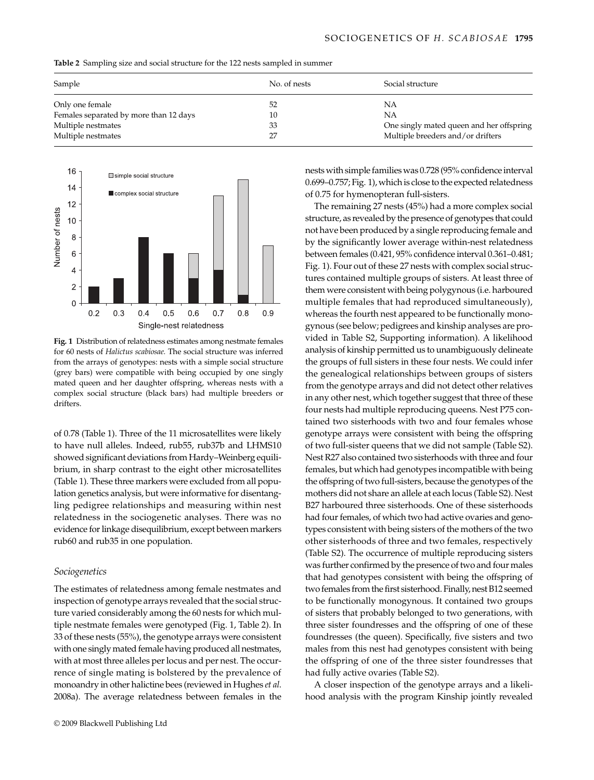**Table 2** Sampling size and social structure for the 122 nests sampled in summer

| Sample                                 | No. of nests | Social structure                         |  |  |
|----------------------------------------|--------------|------------------------------------------|--|--|
| Only one female                        | 52           | NΑ                                       |  |  |
| Females separated by more than 12 days | 10           | ΝA                                       |  |  |
| Multiple nestmates                     | 33           | One singly mated queen and her offspring |  |  |
| Multiple nestmates                     | 27           | Multiple breeders and/or drifters        |  |  |



**Fig. 1** Distribution of relatedness estimates among nestmate females for 60 nests of *Halictus scabiosae.* The social structure was inferred from the arrays of genotypes: nests with a simple social structure (grey bars) were compatible with being occupied by one singly mated queen and her daughter offspring, whereas nests with a complex social structure (black bars) had multiple breeders or drifters.

of 0.78 (Table 1). Three of the 11 microsatellites were likely to have null alleles. Indeed, rub55, rub37b and LHMS10 showed significant deviations from Hardy–Weinberg equilibrium, in sharp contrast to the eight other microsatellites (Table 1). These three markers were excluded from all population genetics analysis, but were informative for disentangling pedigree relationships and measuring within nest relatedness in the sociogenetic analyses. There was no evidence for linkage disequilibrium, except between markers rub60 and rub35 in one population.

#### *Sociogenetics*

The estimates of relatedness among female nestmates and inspection of genotype arrays revealed that the social structure varied considerably among the 60 nests for which multiple nestmate females were genotyped (Fig. 1, Table 2). In 33 of these nests (55%), the genotype arrays were consistent with one singly mated female having produced all nestmates, with at most three alleles per locus and per nest. The occurrence of single mating is bolstered by the prevalence of monoandry in other halictine bees (reviewed in Hughes *et al*. 2008a). The average relatedness between females in the nests with simple families was 0.728 (95% confidence interval 0.699–0.757; Fig. 1), which is close to the expected relatedness of 0.75 for hymenopteran full-sisters.

The remaining 27 nests (45%) had a more complex social structure, as revealed by the presence of genotypes that could not have been produced by a single reproducing female and by the significantly lower average within-nest relatedness between females (0.421, 95% confidence interval 0.361–0.481; Fig. 1). Four out of these 27 nests with complex social structures contained multiple groups of sisters. At least three of them were consistent with being polygynous (i.e. harboured multiple females that had reproduced simultaneously), whereas the fourth nest appeared to be functionally monogynous (see below; pedigrees and kinship analyses are provided in Table S2, Supporting information). A likelihood analysis of kinship permitted us to unambiguously delineate the groups of full sisters in these four nests. We could infer the genealogical relationships between groups of sisters from the genotype arrays and did not detect other relatives in any other nest, which together suggest that three of these four nests had multiple reproducing queens. Nest P75 contained two sisterhoods with two and four females whose genotype arrays were consistent with being the offspring of two full-sister queens that we did not sample (Table S2). Nest R27 also contained two sisterhoods with three and four females, but which had genotypes incompatible with being the offspring of two full-sisters, because the genotypes of the mothers did not share an allele at each locus (Table S2). Nest B27 harboured three sisterhoods. One of these sisterhoods had four females, of which two had active ovaries and genotypes consistent with being sisters of the mothers of the two other sisterhoods of three and two females, respectively (Table S2). The occurrence of multiple reproducing sisters was further confirmed by the presence of two and four males that had genotypes consistent with being the offspring of two females from the first sisterhood. Finally, nest B12 seemed to be functionally monogynous. It contained two groups of sisters that probably belonged to two generations, with three sister foundresses and the offspring of one of these foundresses (the queen). Specifically, five sisters and two males from this nest had genotypes consistent with being the offspring of one of the three sister foundresses that had fully active ovaries (Table S2).

A closer inspection of the genotype arrays and a likelihood analysis with the program Kinship jointly revealed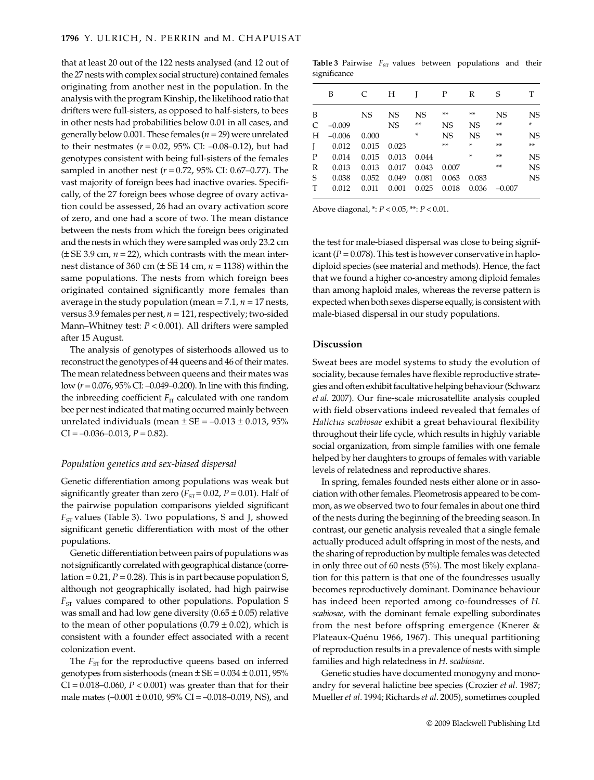that at least 20 out of the 122 nests analysed (and 12 out of the 27 nests with complex social structure) contained females originating from another nest in the population. In the analysis with the program Kinship, the likelihood ratio that drifters were full-sisters, as opposed to half-sisters, to bees in other nests had probabilities below 0.01 in all cases, and generally below 0.001. These females (*n* = 29) were unrelated to their nestmates (*r* = 0.02, 95% CI: –0.08–0.12), but had genotypes consistent with being full-sisters of the females sampled in another nest (*r* = 0.72, 95% CI: 0.67–0.77). The vast majority of foreign bees had inactive ovaries. Specifically, of the 27 foreign bees whose degree of ovary activation could be assessed, 26 had an ovary activation score of zero, and one had a score of two. The mean distance between the nests from which the foreign bees originated and the nests in which they were sampled was only 23.2 cm  $(\pm$  SE 3.9 cm,  $n = 22$ ), which contrasts with the mean internest distance of 360 cm (± SE 14 cm, *n* = 1138) within the same populations. The nests from which foreign bees originated contained significantly more females than average in the study population (mean  $= 7.1$ ,  $n = 17$  nests, versus 3.9 females per nest, *n* = 121, respectively; two-sided Mann–Whitney test: *P* < 0.001). All drifters were sampled after 15 August.

The analysis of genotypes of sisterhoods allowed us to reconstruct the genotypes of 44 queens and 46 of their mates. The mean relatedness between queens and their mates was low (*r* = 0.076, 95% CI: –0.049–0.200). In line with this finding, the inbreeding coefficient  $F_{\text{IT}}$  calculated with one random bee per nest indicated that mating occurred mainly between unrelated individuals (mean  $\pm$  SE = -0.013  $\pm$  0.013, 95%  $CI = -0.036 - 0.013$ ,  $P = 0.82$ ).

#### *Population genetics and sex-biased dispersal*

Genetic differentiation among populations was weak but significantly greater than zero ( $F_{ST}$  = 0.02, *P* = 0.01). Half of the pairwise population comparisons yielded significant  $F_{ST}$  values (Table 3). Two populations, S and J, showed significant genetic differentiation with most of the other populations.

Genetic differentiation between pairs of populations was not significantly correlated with geographical distance (correlation =  $0.21$ ,  $P = 0.28$ ). This is in part because population S, although not geographically isolated, had high pairwise  $F_{ST}$  values compared to other populations. Population S was small and had low gene diversity  $(0.65 \pm 0.05)$  relative to the mean of other populations  $(0.79 \pm 0.02)$ , which is consistent with a founder effect associated with a recent colonization event.

The  $F_{ST}$  for the reproductive queens based on inferred genotypes from sisterhoods (mean  $\pm$  SE = 0.034  $\pm$  0.011, 95% CI = 0.018–0.060, *P* < 0.001) was greater than that for their male mates  $(-0.001 \pm 0.010, 95\% \text{ CI} = -0.018 - 0.019, \text{NS})$ , and

**Table 3** Pairwise  $F_{ST}$  values between populations and their significance

|   | B        | C     | Н         |       | P     | R         | S         | т         |
|---|----------|-------|-----------|-------|-------|-----------|-----------|-----------|
| B |          | NS    | <b>NS</b> | NS    | **    | **        | <b>NS</b> | <b>NS</b> |
| C | $-0.009$ |       | <b>NS</b> | **    | NS    | <b>NS</b> | **        | ×.        |
| H | $-0.006$ | 0.000 |           | *     | NS.   | <b>NS</b> | **        | <b>NS</b> |
| I | 0.012    | 0.015 | 0.023     |       | **    | *         | **        | **        |
| P | 0.014    | 0.015 | 0.013     | 0.044 |       | *         | **        | <b>NS</b> |
| R | 0.013    | 0.013 | 0.017     | 0.043 | 0.007 |           | **        | <b>NS</b> |
| S | 0.038    | 0.052 | 0.049     | 0.081 | 0.063 | 0.083     |           | <b>NS</b> |
| T | 0.012    | 0.011 | 0.001     | 0.025 | 0.018 | 0.036     | $-0.007$  |           |
|   |          |       |           |       |       |           |           |           |

Above diagonal, \*: *P* < 0.05, \*\*: *P* < 0.01.

the test for male-biased dispersal was close to being significant  $(P = 0.078)$ . This test is however conservative in haplodiploid species (see material and methods). Hence, the fact that we found a higher co-ancestry among diploid females than among haploid males, whereas the reverse pattern is expected when both sexes disperse equally, is consistent with male-biased dispersal in our study populations.

#### **Discussion**

Sweat bees are model systems to study the evolution of sociality, because females have flexible reproductive strategies and often exhibit facultative helping behaviour (Schwarz *et al*. 2007). Our fine-scale microsatellite analysis coupled with field observations indeed revealed that females of *Halictus scabiosae* exhibit a great behavioural flexibility throughout their life cycle, which results in highly variable social organization, from simple families with one female helped by her daughters to groups of females with variable levels of relatedness and reproductive shares.

In spring, females founded nests either alone or in association with other females. Pleometrosis appeared to be common, as we observed two to four females in about one third of the nests during the beginning of the breeding season. In contrast, our genetic analysis revealed that a single female actually produced adult offspring in most of the nests, and the sharing of reproduction by multiple females was detected in only three out of 60 nests (5%). The most likely explanation for this pattern is that one of the foundresses usually becomes reproductively dominant. Dominance behaviour has indeed been reported among co-foundresses of *H. scabiosae*, with the dominant female expelling subordinates from the nest before offspring emergence (Knerer & Plateaux-Quénu 1966, 1967). This unequal partitioning of reproduction results in a prevalence of nests with simple families and high relatedness in *H. scabiosae*.

Genetic studies have documented monogyny and monoandry for several halictine bee species (Crozier *et al*. 1987; Mueller *et al*. 1994; Richards *et al*. 2005), sometimes coupled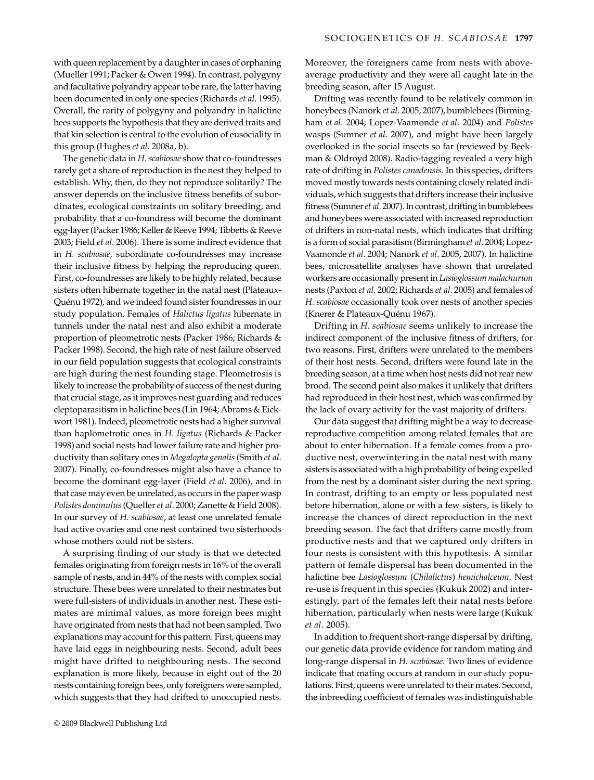with queen replacement by a daughter in cases of orphaning (Mueller 1991; Packer & Owen 1994). In contrast, polygyny and facultative polyandry appear to be rare, the latter having been documented in only one species (Richards *et al*. 1995). Overall, the rarity of polygyny and polyandry in halictine bees supports the hypothesis that they are derived traits and that kin selection is central to the evolution of eusociality in this group (Hughes *et al*. 2008a, b).

The genetic data in *H. scabiosae* show that co-foundresses rarely get a share of reproduction in the nest they helped to establish. Why, then, do they not reproduce solitarily? The answer depends on the inclusive fitness benefits of subordinates, ecological constraints on solitary breeding, and probability that a co-foundress will become the dominant egg-layer (Packer 1986; Keller & Reeve 1994; Tibbetts & Reeve 2003; Field *et al*. 2006). There is some indirect evidence that in *H. scabiosae,* subordinate co-foundresses may increase their inclusive fitness by helping the reproducing queen. First, co-foundresses are likely to be highly related, because sisters often hibernate together in the natal nest (Plateaux-Quénu 1972), and we indeed found sister foundresses in our study population. Females of *Halictus ligatus* hibernate in tunnels under the natal nest and also exhibit a moderate proportion of pleometrotic nests (Packer 1986; Richards & Packer 1998). Second, the high rate of nest failure observed in our field population suggests that ecological constraints are high during the nest founding stage. Pleometrosis is likely to increase the probability of success of the nest during that crucial stage, as it improves nest guarding and reduces cleptoparasitism in halictine bees (Lin 1964; Abrams & Eickwort 1981). Indeed, pleometrotic nests had a higher survival than haplometrotic ones in *H. ligatus* (Richards & Packer 1998) and social nests had lower failure rate and higher productivity than solitary ones in *Megalopta genalis* (Smith *et al*. 2007). Finally, co-foundresses might also have a chance to become the dominant egg-layer (Field *et al*. 2006), and in that case may even be unrelated, as occurs in the paper wasp *Polistes dominulus* (Queller *et al*. 2000; Zanette & Field 2008). In our survey of *H. scabiosae*, at least one unrelated female had active ovaries and one nest contained two sisterhoods whose mothers could not be sisters.

A surprising finding of our study is that we detected females originating from foreign nests in 16% of the overall sample of nests, and in 44% of the nests with complex social structure. These bees were unrelated to their nestmates but were full-sisters of individuals in another nest. These estimates are minimal values, as more foreign bees might have originated from nests that had not been sampled. Two explanations may account for this pattern. First, queens may have laid eggs in neighbouring nests. Second, adult bees might have drifted to neighbouring nests. The second explanation is more likely, because in eight out of the 20 nests containing foreign bees, only foreigners were sampled, which suggests that they had drifted to unoccupied nests.

Moreover, the foreigners came from nests with aboveaverage productivity and they were all caught late in the breeding season, after 15 August.

Drifting was recently found to be relatively common in honeybees (Nanork *et al*. 2005, 2007), bumblebees (Birmingham *et al*. 2004; Lopez-Vaamonde *et al*. 2004) and *Polistes* wasps (Sumner *et al*. 2007), and might have been largely overlooked in the social insects so far (reviewed by Beekman & Oldroyd 2008). Radio-tagging revealed a very high rate of drifting in *Polistes canadensis*. In this species, drifters moved mostly towards nests containing closely related individuals, which suggests that drifters increase their inclusive fitness (Sumner *et al*. 2007). In contrast, drifting in bumblebees and honeybees were associated with increased reproduction of drifters in non-natal nests, which indicates that drifting is a form of social parasitism (Birmingham *et al*. 2004; Lopez-Vaamonde *et al*. 2004; Nanork *et al*. 2005, 2007). In halictine bees, microsatellite analyses have shown that unrelated workers are occasionally present in *Lasioglossum malachurum* nests (Paxton *et al*. 2002; Richards *et al*. 2005) and females of *H. scabiosae* occasionally took over nests of another species (Knerer & Plateaux-Quénu 1967).

Drifting in *H. scabiosae* seems unlikely to increase the indirect component of the inclusive fitness of drifters, for two reasons. First, drifters were unrelated to the members of their host nests. Second, drifters were found late in the breeding season, at a time when host nests did not rear new brood. The second point also makes it unlikely that drifters had reproduced in their host nest, which was confirmed by the lack of ovary activity for the vast majority of drifters.

Our data suggest that drifting might be a way to decrease reproductive competition among related females that are about to enter hibernation. If a female comes from a productive nest, overwintering in the natal nest with many sisters is associated with a high probability of being expelled from the nest by a dominant sister during the next spring. In contrast, drifting to an empty or less populated nest before hibernation, alone or with a few sisters, is likely to increase the chances of direct reproduction in the next breeding season. The fact that drifters came mostly from productive nests and that we captured only drifters in four nests is consistent with this hypothesis. A similar pattern of female dispersal has been documented in the halictine bee *Lasioglossum* (*Chilalictus*) *hemichalceum*. Nest re-use is frequent in this species (Kukuk 2002) and interestingly, part of the females left their natal nests before hibernation, particularly when nests were large (Kukuk *et al*. 2005).

In addition to frequent short-range dispersal by drifting, our genetic data provide evidence for random mating and long-range dispersal in *H. scabiosae*. Two lines of evidence indicate that mating occurs at random in our study populations. First, queens were unrelated to their mates. Second, the inbreeding coefficient of females was indistinguishable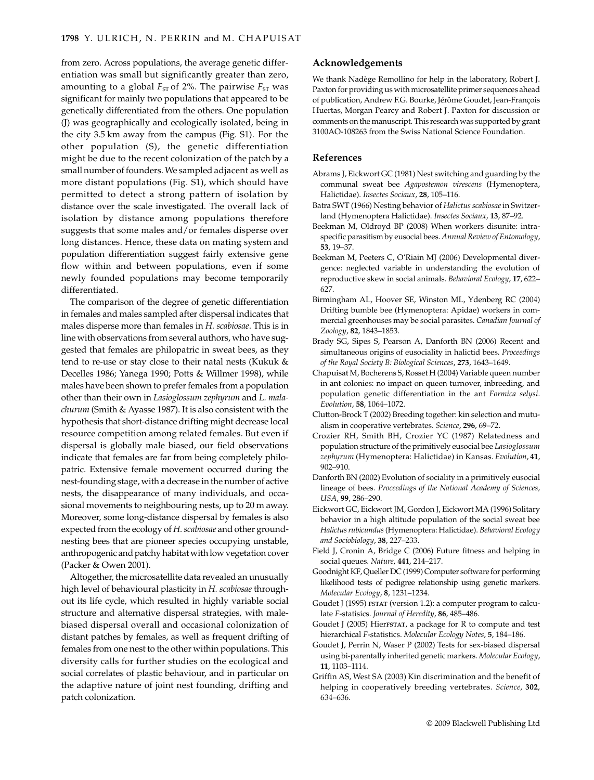from zero. Across populations, the average genetic differentiation was small but significantly greater than zero, amounting to a global  $F_{ST}$  of 2%. The pairwise  $F_{ST}$  was significant for mainly two populations that appeared to be genetically differentiated from the others. One population (J) was geographically and ecologically isolated, being in the city 3.5 km away from the campus (Fig. S1). For the other population (S), the genetic differentiation might be due to the recent colonization of the patch by a small number of founders. We sampled adjacent as well as more distant populations (Fig. S1), which should have permitted to detect a strong pattern of isolation by distance over the scale investigated. The overall lack of isolation by distance among populations therefore suggests that some males and/or females disperse over long distances. Hence, these data on mating system and population differentiation suggest fairly extensive gene flow within and between populations, even if some newly founded populations may become temporarily differentiated.

The comparison of the degree of genetic differentiation in females and males sampled after dispersal indicates that males disperse more than females in *H. scabiosae*. This is in line with observations from several authors, who have suggested that females are philopatric in sweat bees, as they tend to re-use or stay close to their natal nests (Kukuk & Decelles 1986; Yanega 1990; Potts & Willmer 1998), while males have been shown to prefer females from a population other than their own in *Lasioglossum zephyrum* and *L. malachurum* (Smith & Ayasse 1987). It is also consistent with the hypothesis that short-distance drifting might decrease local resource competition among related females. But even if dispersal is globally male biased, our field observations indicate that females are far from being completely philopatric. Extensive female movement occurred during the nest-founding stage, with a decrease in the number of active nests, the disappearance of many individuals, and occasional movements to neighbouring nests, up to 20 m away. Moreover, some long-distance dispersal by females is also expected from the ecology of *H. scabiosae* and other groundnesting bees that are pioneer species occupying unstable, anthropogenic and patchy habitat with low vegetation cover (Packer & Owen 2001).

Altogether, the microsatellite data revealed an unusually high level of behavioural plasticity in *H. scabiosae* throughout its life cycle, which resulted in highly variable social structure and alternative dispersal strategies, with malebiased dispersal overall and occasional colonization of distant patches by females, as well as frequent drifting of females from one nest to the other within populations. This diversity calls for further studies on the ecological and social correlates of plastic behaviour, and in particular on the adaptive nature of joint nest founding, drifting and patch colonization.

### **Acknowledgements**

We thank Nadège Remollino for help in the laboratory, Robert J. Paxton for providing us with microsatellite primer sequences ahead of publication, Andrew F.G. Bourke, Jérôme Goudet, Jean-François Huertas, Morgan Pearcy and Robert J. Paxton for discussion or comments on the manuscript. This research was supported by grant 3100AO-108263 from the Swiss National Science Foundation.

#### **References**

- Abrams J, Eickwort GC (1981) Nest switching and guarding by the communal sweat bee *Agapostemon virescens* (Hymenoptera, Halictidae). *Insectes Sociaux*, **28**, 105–116.
- Batra SWT (1966) Nesting behavior of *Halictus scabiosae* in Switzerland (Hymenoptera Halictidae). *Insectes Sociaux*, **13**, 87–92.
- Beekman M, Oldroyd BP (2008) When workers disunite: intraspecific parasitism by eusocial bees. *Annual Review of Entomology*, **53**, 19–37.
- Beekman M, Peeters C, O'Riain MJ (2006) Developmental divergence: neglected variable in understanding the evolution of reproductive skew in social animals. *Behavioral Ecology*, **17**, 622– 627.
- Birmingham AL, Hoover SE, Winston ML, Ydenberg RC (2004) Drifting bumble bee (Hymenoptera: Apidae) workers in commercial greenhouses may be social parasites. *Canadian Journal of Zoology*, **82**, 1843–1853.
- Brady SG, Sipes S, Pearson A, Danforth BN (2006) Recent and simultaneous origins of eusociality in halictid bees. *Proceedings of the Royal Society B: Biological Sciences*, **273**, 1643–1649.
- Chapuisat M, Bocherens S, Rosset H (2004) Variable queen number in ant colonies: no impact on queen turnover, inbreeding, and population genetic differentiation in the ant *Formica selysi*. *Evolution*, **58**, 1064–1072.
- Clutton-Brock T (2002) Breeding together: kin selection and mutualism in cooperative vertebrates. *Science*, **296**, 69–72.
- Crozier RH, Smith BH, Crozier YC (1987) Relatedness and population structure of the primitively eusocial bee *Lasioglossum zephyrum* (Hymenoptera: Halictidae) in Kansas. *Evolution*, **41**, 902–910.
- Danforth BN (2002) Evolution of sociality in a primitively eusocial lineage of bees. *Proceedings of the National Academy of Sciences, USA*, **99**, 286–290.
- Eickwort GC, Eickwort JM, Gordon J, Eickwort MA (1996) Solitary behavior in a high altitude population of the social sweat bee *Halictus rubicundus* (Hymenoptera: Halictidae). *Behavioral Ecology and Sociobiology*, **38**, 227–233.
- Field J, Cronin A, Bridge C (2006) Future fitness and helping in social queues. *Nature*, **441**, 214–217.
- Goodnight KF, Queller DC (1999) Computer software for performing likelihood tests of pedigree relationship using genetic markers. *Molecular Ecology*, **8**, 1231–1234.
- Goudet J (1995) FSTAT (version 1.2): a computer program to calculate *F*-statisics. *Journal of Heredity*, **86**, 485–486.
- Goudet J (2005) Hierfstat, a package for R to compute and test hierarchical *F*-statistics. *Molecular Ecology Notes*, **5**, 184–186.
- Goudet J, Perrin N, Waser P (2002) Tests for sex-biased dispersal using bi-parentally inherited genetic markers. *Molecular Ecology*, **11**, 1103–1114.
- Griffin AS, West SA (2003) Kin discrimination and the benefit of helping in cooperatively breeding vertebrates. *Science*, **302**, 634–636.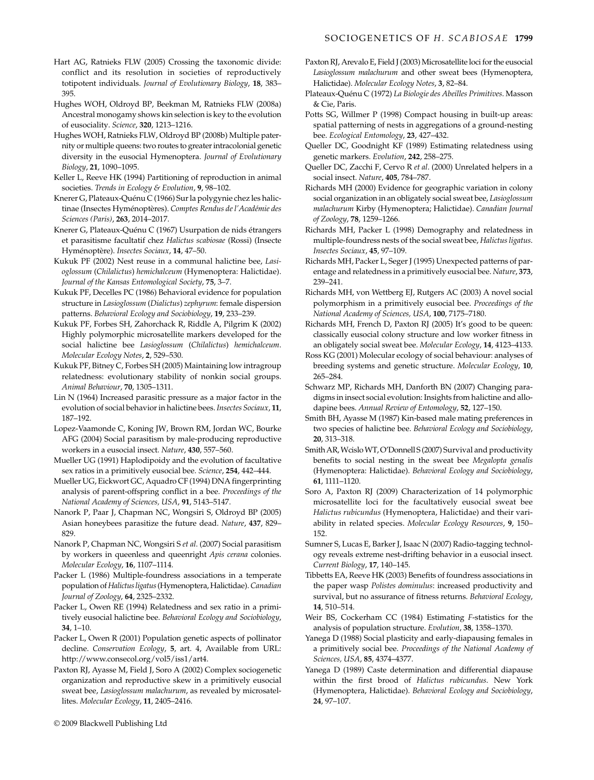- Hart AG, Ratnieks FLW (2005) Crossing the taxonomic divide: conflict and its resolution in societies of reproductively totipotent individuals. *Journal of Evolutionary Biology*, **18**, 383– 395.
- Hughes WOH, Oldroyd BP, Beekman M, Ratnieks FLW (2008a) Ancestral monogamy shows kin selection is key to the evolution of eusociality. *Science*, **320**, 1213–1216.
- Hughes WOH, Ratnieks FLW, Oldroyd BP (2008b) Multiple paternity or multiple queens: two routes to greater intracolonial genetic diversity in the eusocial Hymenoptera. *Journal of Evolutionary Biology*, **21**, 1090–1095.
- Keller L, Reeve HK (1994) Partitioning of reproduction in animal societies. *Trends in Ecology & Evolution*, **9**, 98–102.
- Knerer G, Plateaux-Quénu C (1966) Sur la polygynie chez les halictinae (Insectes Hyménoptères). *Comptes Rendus de l'Académie des Sciences (Paris)*, **263**, 2014–2017.
- Knerer G, Plateaux-Quénu C (1967) Usurpation de nids étrangers et parasitisme facultatif chez *Halictus scabiosae* (Rossi) (Insecte Hyménoptère). *Insectes Sociaux*, **14**, 47–50.
- Kukuk PF (2002) Nest reuse in a communal halictine bee, *Lasioglossum* (*Chilalictus*) *hemichalceum* (Hymenoptera: Halictidae). *Journal of the Kansas Entomological Society*, **75**, 3–7.
- Kukuk PF, Decelles PC (1986) Behavioral evidence for population structure in *Lasioglossum* (*Dialictus*) *zephyrum*: female dispersion patterns. *Behavioral Ecology and Sociobiology*, **19**, 233–239.
- Kukuk PF, Forbes SH, Zahorchack R, Riddle A, Pilgrim K (2002) Highly polymorphic microsatellite markers developed for the social halictine bee *Lasioglossum* (*Chilalictus*) *hemichalceum*. *Molecular Ecology Notes*, **2**, 529–530.
- Kukuk PF, Bitney C, Forbes SH (2005) Maintaining low intragroup relatedness: evolutionary stability of nonkin social groups. *Animal Behaviour*, **70**, 1305–1311.
- Lin N (1964) Increased parasitic pressure as a major factor in the evolution of social behavior in halictine bees. *Insectes Sociaux*, **11**, 187–192.
- Lopez-Vaamonde C, Koning JW, Brown RM, Jordan WC, Bourke AFG (2004) Social parasitism by male-producing reproductive workers in a eusocial insect. *Nature*, **430**, 557–560.
- Mueller UG (1991) Haplodipoidy and the evolution of facultative sex ratios in a primitively eusocial bee. *Science*, **254**, 442–444.
- Mueller UG, Eickwort GC, Aquadro CF (1994) DNA fingerprinting analysis of parent-offspring conflict in a bee. *Proceedings of the National Academy of Sciences, USA*, **91**, 5143–5147.
- Nanork P, Paar J, Chapman NC, Wongsiri S, Oldroyd BP (2005) Asian honeybees parasitize the future dead. *Nature*, **437**, 829– 829.
- Nanork P, Chapman NC, Wongsiri S *et al*. (2007) Social parasitism by workers in queenless and queenright *Apis cerana* colonies. *Molecular Ecology*, **16**, 1107–1114.
- Packer L (1986) Multiple-foundress associations in a temperate population of *Halictus ligatus* (Hymenoptera, Halictidae). *Canadian Journal of Zoology*, **64**, 2325–2332.
- Packer L, Owen RE (1994) Relatedness and sex ratio in a primitively eusocial halictine bee. *Behavioral Ecology and Sociobiology*, **34**, 1–10.
- Packer L, Owen R (2001) Population genetic aspects of pollinator decline. *Conservation Ecology*, **5**, art. 4, Available from URL: [http://www.consecol.org/vol5/iss1/art4.](http://www.consecol.org/vol5/iss1/art4)
- Paxton RJ, Ayasse M, Field J, Soro A (2002) Complex sociogenetic organization and reproductive skew in a primitively eusocial sweat bee, *Lasioglossum malachurum*, as revealed by microsatellites. *Molecular Ecology*, **11**, 2405–2416.
- © 2009 Blackwell Publishing Ltd
- Paxton RJ, Arevalo E, Field J (2003) Microsatellite loci for the eusocial *Lasioglossum malachurum* and other sweat bees (Hymenoptera, Halictidae). *Molecular Ecology Notes*, **3**, 82–84.
- Plateaux-Quénu C (1972) *La Biologie des Abeilles Primitives*. Masson & Cie, Paris.
- Potts SG, Willmer P (1998) Compact housing in built-up areas: spatial patterning of nests in aggregations of a ground-nesting bee. *Ecological Entomology*, **23**, 427–432.
- Queller DC, Goodnight KF (1989) Estimating relatedness using genetic markers. *Evolution*, **242**, 258–275.
- Queller DC, Zacchi F, Cervo R *et al*. (2000) Unrelated helpers in a social insect. *Nature*, **405**, 784–787.
- Richards MH (2000) Evidence for geographic variation in colony social organization in an obligately social sweat bee, *Lasioglossum malachurum* Kirby (Hymenoptera; Halictidae). *Canadian Journal of Zoology*, **78**, 1259–1266.
- Richards MH, Packer L (1998) Demography and relatedness in multiple-foundress nests of the social sweat bee, *Halictus ligatus*. *Insectes Sociaux*, **45**, 97–109.
- Richards MH, Packer L, Seger J (1995) Unexpected patterns of parentage and relatedness in a primitively eusocial bee. *Nature*, **373**, 239–241.
- Richards MH, von Wettberg EJ, Rutgers AC (2003) A novel social polymorphism in a primitively eusocial bee. *Proceedings of the National Academy of Sciences, USA*, **100**, 7175–7180.
- Richards MH, French D, Paxton RJ (2005) It's good to be queen: classically eusocial colony structure and low worker fitness in an obligately social sweat bee. *Molecular Ecology*, **14**, 4123–4133.
- Ross KG (2001) Molecular ecology of social behaviour: analyses of breeding systems and genetic structure. *Molecular Ecology*, **10**, 265–284.
- Schwarz MP, Richards MH, Danforth BN (2007) Changing paradigms in insect social evolution: Insights from halictine and allodapine bees. *Annual Review of Entomology*, **52**, 127–150.
- Smith BH, Ayasse M (1987) Kin-based male mating preferences in two species of halictine bee. *Behavioral Ecology and Sociobiology*, **20**, 313–318.
- Smith AR, Wcislo WT, O'Donnell S (2007) Survival and productivity benefits to social nesting in the sweat bee *Megalopta genalis* (Hymenoptera: Halictidae). *Behavioral Ecology and Sociobiology*, **61**, 1111–1120.
- Soro A, Paxton RJ (2009) Characterization of 14 polymorphic microsatellite loci for the facultatively eusocial sweat bee *Halictus rubicundus* (Hymenoptera, Halictidae) and their variability in related species. *Molecular Ecology Resources*, **9**, 150– 152.
- Sumner S, Lucas E, Barker J, Isaac N (2007) Radio-tagging technology reveals extreme nest-drifting behavior in a eusocial insect. *Current Biology*, **17**, 140–145.
- Tibbetts EA, Reeve HK (2003) Benefits of foundress associations in the paper wasp *Polistes dominulus*: increased productivity and survival, but no assurance of fitness returns. *Behavioral Ecology*, **14**, 510–514.
- Weir BS, Cockerham CC (1984) Estimating *F*-statistics for the analysis of population structure. *Evolution*, **38**, 1358–1370.
- Yanega D (1988) Social plasticity and early-diapausing females in a primitively social bee. *Proceedings of the National Academy of Sciences, USA*, **85**, 4374–4377.
- Yanega D (1989) Caste determination and differential diapause within the first brood of *Halictus rubicundus*. New York (Hymenoptera, Halictidae). *Behavioral Ecology and Sociobiology*, **24**, 97–107.